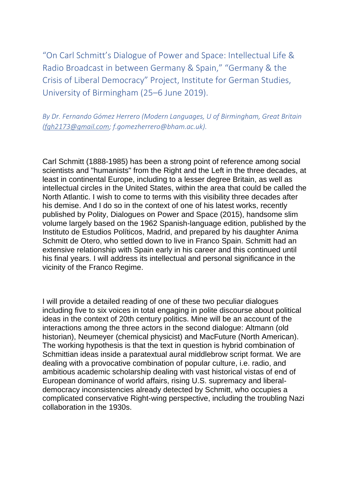"On Carl Schmitt's Dialogue of Power and Space: Intellectual Life & Radio Broadcast in between Germany & Spain," "Germany & the Crisis of Liberal Democracy" Project, Institute for German Studies, University of Birmingham (25–6 June 2019).

*By Dr. Fernando Gómez Herrero (Modern Languages, U of Birmingham, Great Britain (fgh2173@gmail.com; f.gomezherrero@bham.ac.uk).*

Carl Schmitt (1888-1985) has been a strong point of reference among social scientists and "humanists" from the Right and the Left in the three decades, at least in continental Europe, including to a lesser degree Britain, as well as intellectual circles in the United States, within the area that could be called the North Atlantic. I wish to come to terms with this visibility three decades after his demise. And I do so in the context of one of his latest works, recently published by Polity, Dialogues on Power and Space (2015), handsome slim volume largely based on the 1962 Spanish-language edition, published by the Instituto de Estudios Políticos, Madrid, and prepared by his daughter Anima Schmitt de Otero, who settled down to live in Franco Spain. Schmitt had an extensive relationship with Spain early in his career and this continued until his final years. I will address its intellectual and personal significance in the vicinity of the Franco Regime.

I will provide a detailed reading of one of these two peculiar dialogues including five to six voices in total engaging in polite discourse about political ideas in the context of 20th century politics. Mine will be an account of the interactions among the three actors in the second dialogue: Altmann (old historian), Neumeyer (chemical physicist) and MacFuture (North American). The working hypothesis is that the text in question is hybrid combination of Schmittian ideas inside a paratextual aural middlebrow script format. We are dealing with a provocative combination of popular culture, i.e. radio, and ambitious academic scholarship dealing with vast historical vistas of end of European dominance of world affairs, rising U.S. supremacy and liberaldemocracy inconsistencies already detected by Schmitt, who occupies a complicated conservative Right-wing perspective, including the troubling Nazi collaboration in the 1930s.